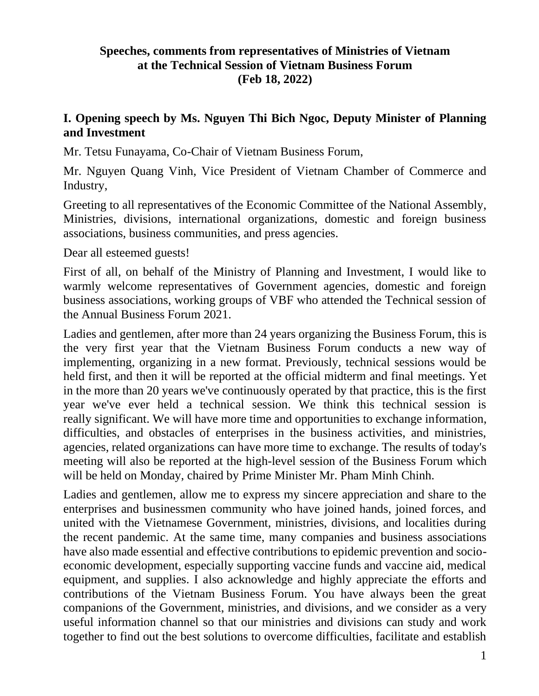### **Speeches, comments from representatives of Ministries of Vietnam at the Technical Session of Vietnam Business Forum (Feb 18, 2022)**

### **I. Opening speech by Ms. Nguyen Thi Bich Ngoc, Deputy Minister of Planning and Investment**

Mr. Tetsu Funayama, Co-Chair of Vietnam Business Forum,

Mr. Nguyen Quang Vinh, Vice President of Vietnam Chamber of Commerce and Industry,

Greeting to all representatives of the Economic Committee of the National Assembly, Ministries, divisions, international organizations, domestic and foreign business associations, business communities, and press agencies.

Dear all esteemed guests!

First of all, on behalf of the Ministry of Planning and Investment, I would like to warmly welcome representatives of Government agencies, domestic and foreign business associations, working groups of VBF who attended the Technical session of the Annual Business Forum 2021.

Ladies and gentlemen, after more than 24 years organizing the Business Forum, this is the very first year that the Vietnam Business Forum conducts a new way of implementing, organizing in a new format. Previously, technical sessions would be held first, and then it will be reported at the official midterm and final meetings. Yet in the more than 20 years we've continuously operated by that practice, this is the first year we've ever held a technical session. We think this technical session is really significant. We will have more time and opportunities to exchange information, difficulties, and obstacles of enterprises in the business activities, and ministries, agencies, related organizations can have more time to exchange. The results of today's meeting will also be reported at the high-level session of the Business Forum which will be held on Monday, chaired by Prime Minister Mr. Pham Minh Chinh.

Ladies and gentlemen, allow me to express my sincere appreciation and share to the enterprises and businessmen community who have joined hands, joined forces, and united with the Vietnamese Government, ministries, divisions, and localities during the recent pandemic. At the same time, many companies and business associations have also made essential and effective contributions to epidemic prevention and socioeconomic development, especially supporting vaccine funds and vaccine aid, medical equipment, and supplies. I also acknowledge and highly appreciate the efforts and contributions of the Vietnam Business Forum. You have always been the great companions of the Government, ministries, and divisions, and we consider as a very useful information channel so that our ministries and divisions can study and work together to find out the best solutions to overcome difficulties, facilitate and establish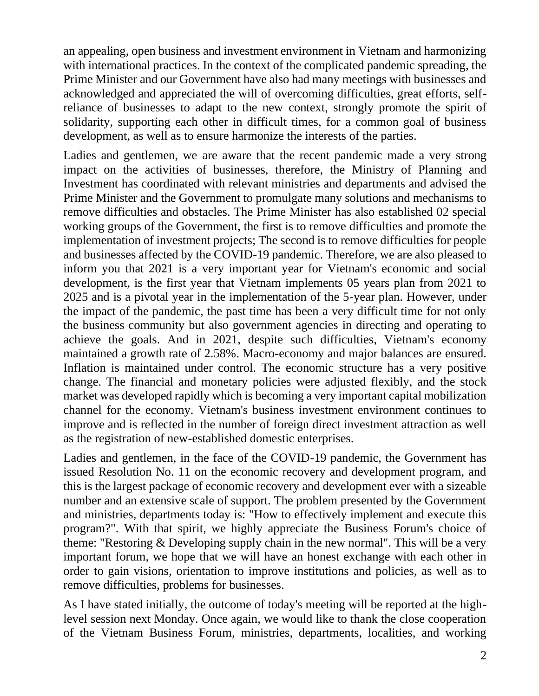an appealing, open business and investment environment in Vietnam and harmonizing with international practices. In the context of the complicated pandemic spreading, the Prime Minister and our Government have also had many meetings with businesses and acknowledged and appreciated the will of overcoming difficulties, great efforts, selfreliance of businesses to adapt to the new context, strongly promote the spirit of solidarity, supporting each other in difficult times, for a common goal of business development, as well as to ensure harmonize the interests of the parties.

Ladies and gentlemen, we are aware that the recent pandemic made a very strong impact on the activities of businesses, therefore, the Ministry of Planning and Investment has coordinated with relevant ministries and departments and advised the Prime Minister and the Government to promulgate many solutions and mechanisms to remove difficulties and obstacles. The Prime Minister has also established 02 special working groups of the Government, the first is to remove difficulties and promote the implementation of investment projects; The second is to remove difficulties for people and businesses affected by the COVID-19 pandemic. Therefore, we are also pleased to inform you that 2021 is a very important year for Vietnam's economic and social development, is the first year that Vietnam implements 05 years plan from 2021 to 2025 and is a pivotal year in the implementation of the 5-year plan. However, under the impact of the pandemic, the past time has been a very difficult time for not only the business community but also government agencies in directing and operating to achieve the goals. And in 2021, despite such difficulties, Vietnam's economy maintained a growth rate of 2.58%. Macro-economy and major balances are ensured. Inflation is maintained under control. The economic structure has a very positive change. The financial and monetary policies were adjusted flexibly, and the stock market was developed rapidly which is becoming a very important capital mobilization channel for the economy. Vietnam's business investment environment continues to improve and is reflected in the number of foreign direct investment attraction as well as the registration of new-established domestic enterprises.

Ladies and gentlemen, in the face of the COVID-19 pandemic, the Government has issued Resolution No. 11 on the economic recovery and development program, and this is the largest package of economic recovery and development ever with a sizeable number and an extensive scale of support. The problem presented by the Government and ministries, departments today is: "How to effectively implement and execute this program?". With that spirit, we highly appreciate the Business Forum's choice of theme: "Restoring & Developing supply chain in the new normal". This will be a very important forum, we hope that we will have an honest exchange with each other in order to gain visions, orientation to improve institutions and policies, as well as to remove difficulties, problems for businesses.

As I have stated initially, the outcome of today's meeting will be reported at the highlevel session next Monday. Once again, we would like to thank the close cooperation of the Vietnam Business Forum, ministries, departments, localities, and working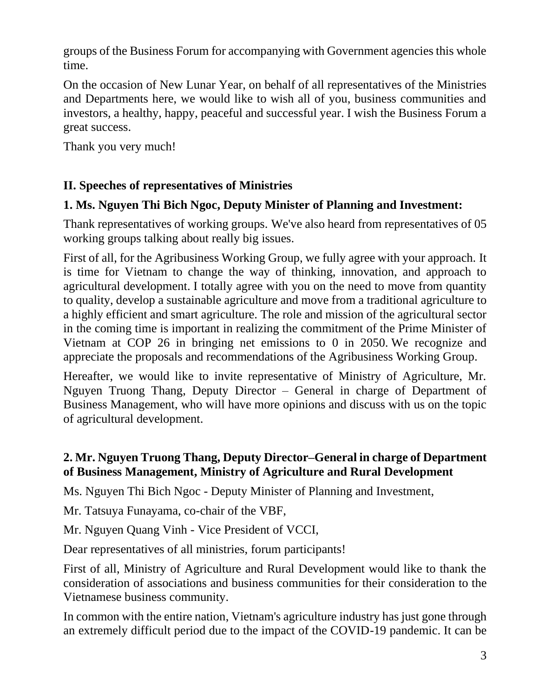groups of the Business Forum for accompanying with Government agencies this whole time.

On the occasion of New Lunar Year, on behalf of all representatives of the Ministries and Departments here, we would like to wish all of you, business communities and investors, a healthy, happy, peaceful and successful year. I wish the Business Forum a great success.

Thank you very much!

## **II. Speeches of representatives of Ministries**

### **1. Ms. Nguyen Thi Bich Ngoc, Deputy Minister of Planning and Investment:**

Thank representatives of working groups. We've also heard from representatives of 05 working groups talking about really big issues.

First of all, for the Agribusiness Working Group, we fully agree with your approach. It is time for Vietnam to change the way of thinking, innovation, and approach to agricultural development. I totally agree with you on the need to move from quantity to quality, develop a sustainable agriculture and move from a traditional agriculture to a highly efficient and smart agriculture. The role and mission of the agricultural sector in the coming time is important in realizing the commitment of the Prime Minister of Vietnam at COP 26 in bringing net emissions to 0 in 2050. We recognize and appreciate the proposals and recommendations of the Agribusiness Working Group.

Hereafter, we would like to invite representative of Ministry of Agriculture, Mr. Nguyen Truong Thang, Deputy Director – General in charge of Department of Business Management, who will have more opinions and discuss with us on the topic of agricultural development.

### **2. Mr. Nguyen Truong Thang, Deputy Director–General in charge of Department of Business Management, Ministry of Agriculture and Rural Development**

Ms. Nguyen Thi Bich Ngoc - Deputy Minister of Planning and Investment,

Mr. Tatsuya Funayama, co-chair of the VBF,

Mr. Nguyen Quang Vinh - Vice President of VCCI,

Dear representatives of all ministries, forum participants!

First of all, Ministry of Agriculture and Rural Development would like to thank the consideration of associations and business communities for their consideration to the Vietnamese business community.

In common with the entire nation, Vietnam's agriculture industry has just gone through an extremely difficult period due to the impact of the COVID-19 pandemic. It can be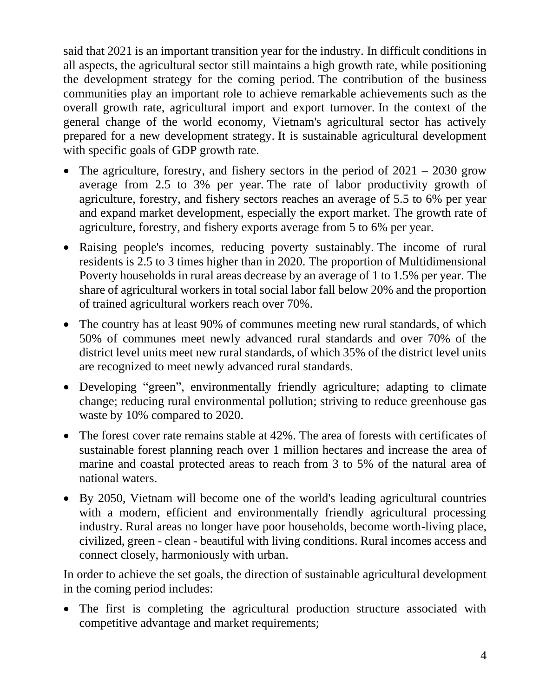said that 2021 is an important transition year for the industry. In difficult conditions in all aspects, the agricultural sector still maintains a high growth rate, while positioning the development strategy for the coming period. The contribution of the business communities play an important role to achieve remarkable achievements such as the overall growth rate, agricultural import and export turnover. In the context of the general change of the world economy, Vietnam's agricultural sector has actively prepared for a new development strategy. It is sustainable agricultural development with specific goals of GDP growth rate.

- The agriculture, forestry, and fishery sectors in the period of  $2021 2030$  grow average from 2.5 to 3% per year. The rate of labor productivity growth of agriculture, forestry, and fishery sectors reaches an average of 5.5 to 6% per year and expand market development, especially the export market. The growth rate of agriculture, forestry, and fishery exports average from 5 to 6% per year.
- Raising people's incomes, reducing poverty sustainably. The income of rural residents is 2.5 to 3 times higher than in 2020. The proportion of Multidimensional Poverty households in rural areas decrease by an average of 1 to 1.5% per year. The share of agricultural workers in total social labor fall below 20% and the proportion of trained agricultural workers reach over 70%.
- The country has at least 90% of communes meeting new rural standards, of which 50% of communes meet newly advanced rural standards and over 70% of the district level units meet new rural standards, of which 35% of the district level units are recognized to meet newly advanced rural standards.
- Developing "green", environmentally friendly agriculture; adapting to climate change; reducing rural environmental pollution; striving to reduce greenhouse gas waste by 10% compared to 2020.
- The forest cover rate remains stable at 42%. The area of forests with certificates of sustainable forest planning reach over 1 million hectares and increase the area of marine and coastal protected areas to reach from 3 to 5% of the natural area of national waters.
- By 2050, Vietnam will become one of the world's leading agricultural countries with a modern, efficient and environmentally friendly agricultural processing industry. Rural areas no longer have poor households, become worth-living place, civilized, green - clean - beautiful with living conditions. Rural incomes access and connect closely, harmoniously with urban.

In order to achieve the set goals, the direction of sustainable agricultural development in the coming period includes:

• The first is completing the agricultural production structure associated with competitive advantage and market requirements;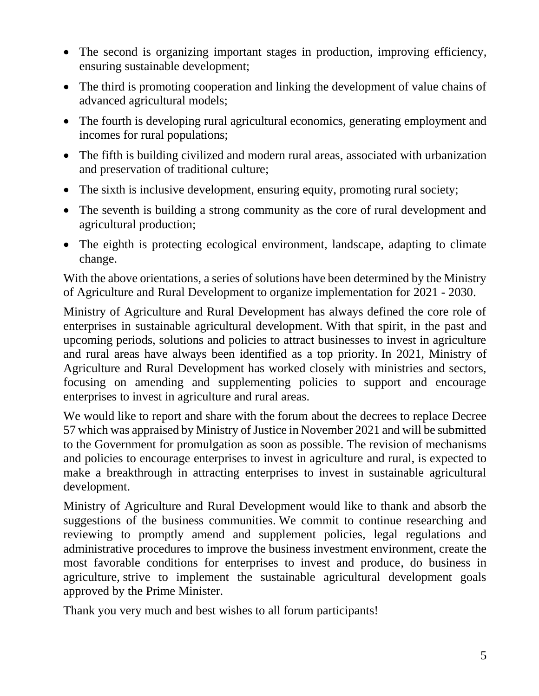- The second is organizing important stages in production, improving efficiency, ensuring sustainable development;
- The third is promoting cooperation and linking the development of value chains of advanced agricultural models;
- The fourth is developing rural agricultural economics, generating employment and incomes for rural populations;
- The fifth is building civilized and modern rural areas, associated with urbanization and preservation of traditional culture;
- The sixth is inclusive development, ensuring equity, promoting rural society;
- The seventh is building a strong community as the core of rural development and agricultural production;
- The eighth is protecting ecological environment, landscape, adapting to climate change.

With the above orientations, a series of solutions have been determined by the Ministry of Agriculture and Rural Development to organize implementation for 2021 - 2030.

Ministry of Agriculture and Rural Development has always defined the core role of enterprises in sustainable agricultural development. With that spirit, in the past and upcoming periods, solutions and policies to attract businesses to invest in agriculture and rural areas have always been identified as a top priority. In 2021, Ministry of Agriculture and Rural Development has worked closely with ministries and sectors, focusing on amending and supplementing policies to support and encourage enterprises to invest in agriculture and rural areas.

We would like to report and share with the forum about the decrees to replace Decree 57 which was appraised by Ministry of Justice in November 2021 and will be submitted to the Government for promulgation as soon as possible. The revision of mechanisms and policies to encourage enterprises to invest in agriculture and rural, is expected to make a breakthrough in attracting enterprises to invest in sustainable agricultural development.

Ministry of Agriculture and Rural Development would like to thank and absorb the suggestions of the business communities. We commit to continue researching and reviewing to promptly amend and supplement policies, legal regulations and administrative procedures to improve the business investment environment, create the most favorable conditions for enterprises to invest and produce, do business in agriculture, strive to implement the sustainable agricultural development goals approved by the Prime Minister.

Thank you very much and best wishes to all forum participants!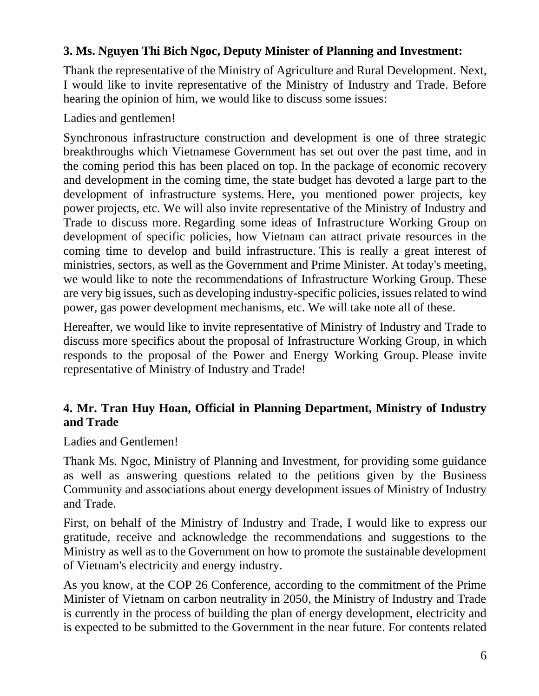### **3. Ms. Nguyen Thi Bich Ngoc, Deputy Minister of Planning and Investment:**

Thank the representative of the Ministry of Agriculture and Rural Development. Next, I would like to invite representative of the Ministry of Industry and Trade. Before hearing the opinion of him, we would like to discuss some issues:

Ladies and gentlemen!

Synchronous infrastructure construction and development is one of three strategic breakthroughs which Vietnamese Government has set out over the past time, and in the coming period this has been placed on top. In the package of economic recovery and development in the coming time, the state budget has devoted a large part to the development of infrastructure systems. Here, you mentioned power projects, key power projects, etc. We will also invite representative of the Ministry of Industry and Trade to discuss more. Regarding some ideas of Infrastructure Working Group on development of specific policies, how Vietnam can attract private resources in the coming time to develop and build infrastructure. This is really a great interest of ministries, sectors, as well as the Government and Prime Minister. At today's meeting, we would like to note the recommendations of Infrastructure Working Group. These are very big issues, such as developing industry-specific policies, issues related to wind power, gas power development mechanisms, etc. We will take note all of these.

Hereafter, we would like to invite representative of Ministry of Industry and Trade to discuss more specifics about the proposal of Infrastructure Working Group, in which responds to the proposal of the Power and Energy Working Group. Please invite representative of Ministry of Industry and Trade!

## **4. Mr. Tran Huy Hoan, Official in Planning Department, Ministry of Industry and Trade**

Ladies and Gentlemen!

Thank Ms. Ngoc, Ministry of Planning and Investment, for providing some guidance as well as answering questions related to the petitions given by the Business Community and associations about energy development issues of Ministry of Industry and Trade.

First, on behalf of the Ministry of Industry and Trade, I would like to express our gratitude, receive and acknowledge the recommendations and suggestions to the Ministry as well as to the Government on how to promote the sustainable development of Vietnam's electricity and energy industry.

As you know, at the COP 26 Conference, according to the commitment of the Prime Minister of Vietnam on carbon neutrality in 2050, the Ministry of Industry and Trade is currently in the process of building the plan of energy development, electricity and is expected to be submitted to the Government in the near future. For contents related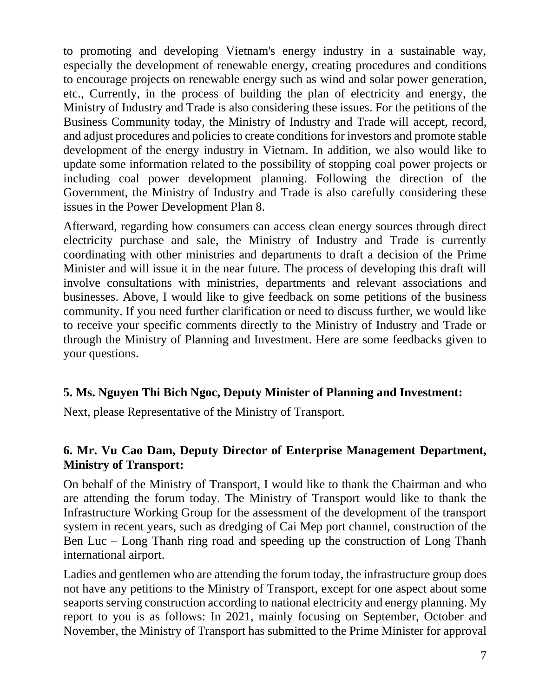to promoting and developing Vietnam's energy industry in a sustainable way, especially the development of renewable energy, creating procedures and conditions to encourage projects on renewable energy such as wind and solar power generation, etc., Currently, in the process of building the plan of electricity and energy, the Ministry of Industry and Trade is also considering these issues. For the petitions of the Business Community today, the Ministry of Industry and Trade will accept, record, and adjust procedures and policies to create conditions for investors and promote stable development of the energy industry in Vietnam. In addition, we also would like to update some information related to the possibility of stopping coal power projects or including coal power development planning. Following the direction of the Government, the Ministry of Industry and Trade is also carefully considering these issues in the Power Development Plan 8.

Afterward, regarding how consumers can access clean energy sources through direct electricity purchase and sale, the Ministry of Industry and Trade is currently coordinating with other ministries and departments to draft a decision of the Prime Minister and will issue it in the near future. The process of developing this draft will involve consultations with ministries, departments and relevant associations and businesses. Above, I would like to give feedback on some petitions of the business community. If you need further clarification or need to discuss further, we would like to receive your specific comments directly to the Ministry of Industry and Trade or through the Ministry of Planning and Investment. Here are some feedbacks given to your questions.

### **5. Ms. Nguyen Thi Bich Ngoc, Deputy Minister of Planning and Investment:**

Next, please Representative of the Ministry of Transport.

### **6. Mr. Vu Cao Dam, Deputy Director of Enterprise Management Department, Ministry of Transport:**

On behalf of the Ministry of Transport, I would like to thank the Chairman and who are attending the forum today. The Ministry of Transport would like to thank the Infrastructure Working Group for the assessment of the development of the transport system in recent years, such as dredging of Cai Mep port channel, construction of the Ben Luc – Long Thanh ring road and speeding up the construction of Long Thanh international airport.

Ladies and gentlemen who are attending the forum today, the infrastructure group does not have any petitions to the Ministry of Transport, except for one aspect about some seaports serving construction according to national electricity and energy planning. My report to you is as follows: In 2021, mainly focusing on September, October and November, the Ministry of Transport has submitted to the Prime Minister for approval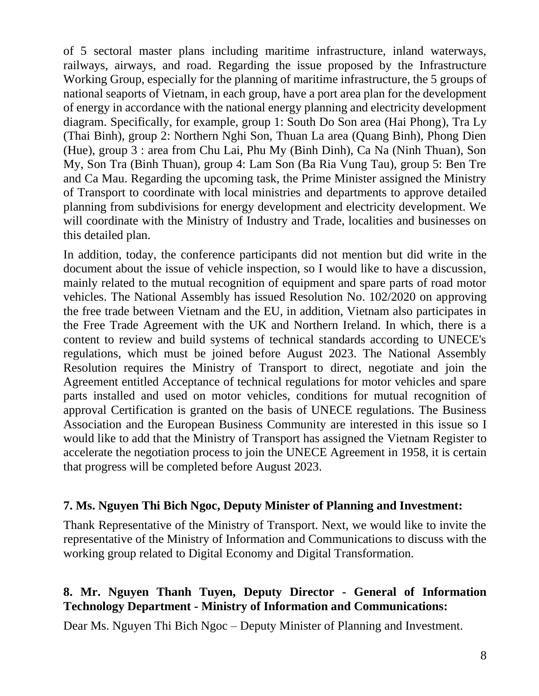of 5 sectoral master plans including maritime infrastructure, inland waterways, railways, airways, and road. Regarding the issue proposed by the Infrastructure Working Group, especially for the planning of maritime infrastructure, the 5 groups of national seaports of Vietnam, in each group, have a port area plan for the development of energy in accordance with the national energy planning and electricity development diagram. Specifically, for example, group 1: South Do Son area (Hai Phong), Tra Ly (Thai Binh), group 2: Northern Nghi Son, Thuan La area (Quang Binh), Phong Dien (Hue), group 3 : area from Chu Lai, Phu My (Binh Dinh), Ca Na (Ninh Thuan), Son My, Son Tra (Binh Thuan), group 4: Lam Son (Ba Ria Vung Tau), group 5: Ben Tre and Ca Mau. Regarding the upcoming task, the Prime Minister assigned the Ministry of Transport to coordinate with local ministries and departments to approve detailed planning from subdivisions for energy development and electricity development. We will coordinate with the Ministry of Industry and Trade, localities and businesses on this detailed plan.

In addition, today, the conference participants did not mention but did write in the document about the issue of vehicle inspection, so I would like to have a discussion, mainly related to the mutual recognition of equipment and spare parts of road motor vehicles. The National Assembly has issued Resolution No. 102/2020 on approving the free trade between Vietnam and the EU, in addition, Vietnam also participates in the Free Trade Agreement with the UK and Northern Ireland. In which, there is a content to review and build systems of technical standards according to UNECE's regulations, which must be joined before August 2023. The National Assembly Resolution requires the Ministry of Transport to direct, negotiate and join the Agreement entitled Acceptance of technical regulations for motor vehicles and spare parts installed and used on motor vehicles, conditions for mutual recognition of approval Certification is granted on the basis of UNECE regulations. The Business Association and the European Business Community are interested in this issue so I would like to add that the Ministry of Transport has assigned the Vietnam Register to accelerate the negotiation process to join the UNECE Agreement in 1958, it is certain that progress will be completed before August 2023.

#### **7. Ms. Nguyen Thi Bich Ngoc, Deputy Minister of Planning and Investment:**

Thank Representative of the Ministry of Transport. Next, we would like to invite the representative of the Ministry of Information and Communications to discuss with the working group related to Digital Economy and Digital Transformation.

## **8. Mr. Nguyen Thanh Tuyen, Deputy Director - General of Information Technology Department - Ministry of Information and Communications:**

Dear Ms. Nguyen Thi Bich Ngoc – Deputy Minister of Planning and Investment.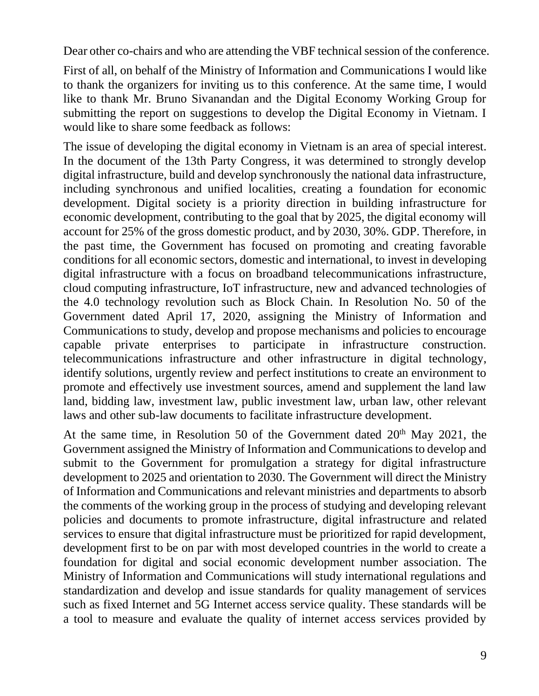Dear other co-chairs and who are attending the VBF technical session of the conference.

First of all, on behalf of the Ministry of Information and Communications I would like to thank the organizers for inviting us to this conference. At the same time, I would like to thank Mr. Bruno Sivanandan and the Digital Economy Working Group for submitting the report on suggestions to develop the Digital Economy in Vietnam. I would like to share some feedback as follows:

The issue of developing the digital economy in Vietnam is an area of special interest. In the document of the 13th Party Congress, it was determined to strongly develop digital infrastructure, build and develop synchronously the national data infrastructure, including synchronous and unified localities, creating a foundation for economic development. Digital society is a priority direction in building infrastructure for economic development, contributing to the goal that by 2025, the digital economy will account for 25% of the gross domestic product, and by 2030, 30%. GDP. Therefore, in the past time, the Government has focused on promoting and creating favorable conditions for all economic sectors, domestic and international, to invest in developing digital infrastructure with a focus on broadband telecommunications infrastructure, cloud computing infrastructure, IoT infrastructure, new and advanced technologies of the 4.0 technology revolution such as Block Chain. In Resolution No. 50 of the Government dated April 17, 2020, assigning the Ministry of Information and Communications to study, develop and propose mechanisms and policies to encourage capable private enterprises to participate in infrastructure construction. telecommunications infrastructure and other infrastructure in digital technology, identify solutions, urgently review and perfect institutions to create an environment to promote and effectively use investment sources, amend and supplement the land law land, bidding law, investment law, public investment law, urban law, other relevant laws and other sub-law documents to facilitate infrastructure development.

At the same time, in Resolution 50 of the Government dated  $20<sup>th</sup>$  May 2021, the Government assigned the Ministry of Information and Communications to develop and submit to the Government for promulgation a strategy for digital infrastructure development to 2025 and orientation to 2030. The Government will direct the Ministry of Information and Communications and relevant ministries and departments to absorb the comments of the working group in the process of studying and developing relevant policies and documents to promote infrastructure, digital infrastructure and related services to ensure that digital infrastructure must be prioritized for rapid development, development first to be on par with most developed countries in the world to create a foundation for digital and social economic development number association. The Ministry of Information and Communications will study international regulations and standardization and develop and issue standards for quality management of services such as fixed Internet and 5G Internet access service quality. These standards will be a tool to measure and evaluate the quality of internet access services provided by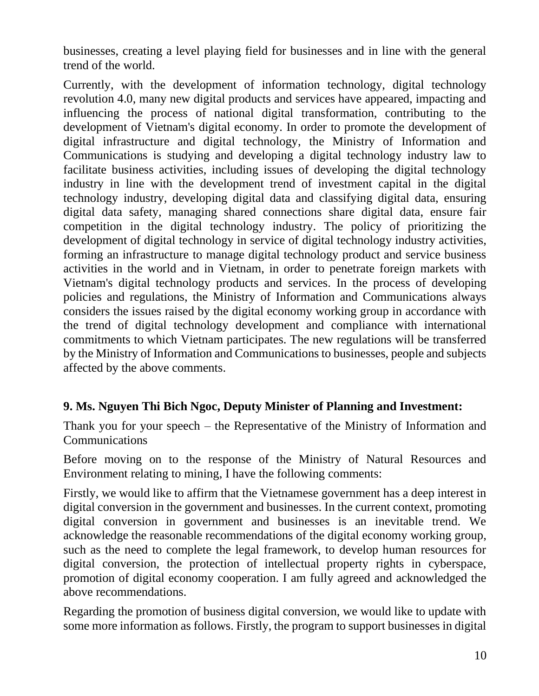businesses, creating a level playing field for businesses and in line with the general trend of the world.

Currently, with the development of information technology, digital technology revolution 4.0, many new digital products and services have appeared, impacting and influencing the process of national digital transformation, contributing to the development of Vietnam's digital economy. In order to promote the development of digital infrastructure and digital technology, the Ministry of Information and Communications is studying and developing a digital technology industry law to facilitate business activities, including issues of developing the digital technology industry in line with the development trend of investment capital in the digital technology industry, developing digital data and classifying digital data, ensuring digital data safety, managing shared connections share digital data, ensure fair competition in the digital technology industry. The policy of prioritizing the development of digital technology in service of digital technology industry activities, forming an infrastructure to manage digital technology product and service business activities in the world and in Vietnam, in order to penetrate foreign markets with Vietnam's digital technology products and services. In the process of developing policies and regulations, the Ministry of Information and Communications always considers the issues raised by the digital economy working group in accordance with the trend of digital technology development and compliance with international commitments to which Vietnam participates. The new regulations will be transferred by the Ministry of Information and Communications to businesses, people and subjects affected by the above comments.

### **9. Ms. Nguyen Thi Bich Ngoc, Deputy Minister of Planning and Investment:**

Thank you for your speech – the Representative of the Ministry of Information and **Communications** 

Before moving on to the response of the Ministry of Natural Resources and Environment relating to mining, I have the following comments:

Firstly, we would like to affirm that the Vietnamese government has a deep interest in digital conversion in the government and businesses. In the current context, promoting digital conversion in government and businesses is an inevitable trend. We acknowledge the reasonable recommendations of the digital economy working group, such as the need to complete the legal framework, to develop human resources for digital conversion, the protection of intellectual property rights in cyberspace, promotion of digital economy cooperation. I am fully agreed and acknowledged the above recommendations.

Regarding the promotion of business digital conversion, we would like to update with some more information as follows. Firstly, the program to support businesses in digital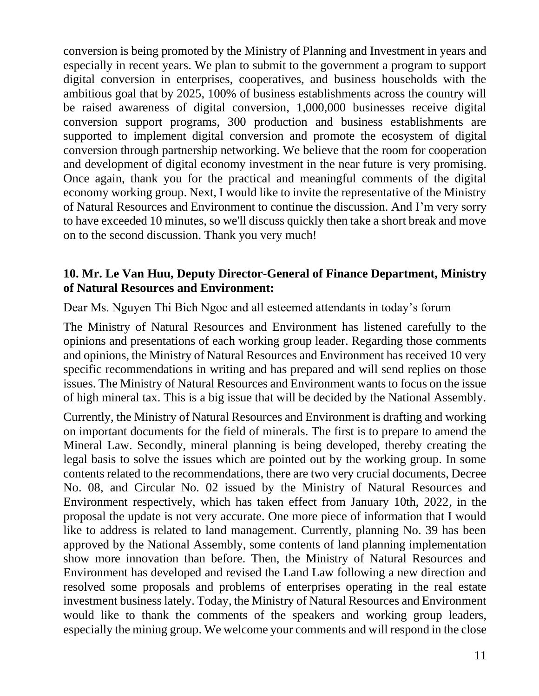conversion is being promoted by the Ministry of Planning and Investment in years and especially in recent years. We plan to submit to the government a program to support digital conversion in enterprises, cooperatives, and business households with the ambitious goal that by 2025, 100% of business establishments across the country will be raised awareness of digital conversion, 1,000,000 businesses receive digital conversion support programs, 300 production and business establishments are supported to implement digital conversion and promote the ecosystem of digital conversion through partnership networking. We believe that the room for cooperation and development of digital economy investment in the near future is very promising. Once again, thank you for the practical and meaningful comments of the digital economy working group. Next, I would like to invite the representative of the Ministry of Natural Resources and Environment to continue the discussion. And I'm very sorry to have exceeded 10 minutes, so we'll discuss quickly then take a short break and move on to the second discussion. Thank you very much!

#### **10. Mr. Le Van Huu, Deputy Director-General of Finance Department, Ministry of Natural Resources and Environment:**

Dear Ms. Nguyen Thi Bich Ngoc and all esteemed attendants in today's forum

The Ministry of Natural Resources and Environment has listened carefully to the opinions and presentations of each working group leader. Regarding those comments and opinions, the Ministry of Natural Resources and Environment has received 10 very specific recommendations in writing and has prepared and will send replies on those issues. The Ministry of Natural Resources and Environment wants to focus on the issue of high mineral tax. This is a big issue that will be decided by the National Assembly.

Currently, the Ministry of Natural Resources and Environment is drafting and working on important documents for the field of minerals. The first is to prepare to amend the Mineral Law. Secondly, mineral planning is being developed, thereby creating the legal basis to solve the issues which are pointed out by the working group. In some contents related to the recommendations, there are two very crucial documents, Decree No. 08, and Circular No. 02 issued by the Ministry of Natural Resources and Environment respectively, which has taken effect from January 10th, 2022, in the proposal the update is not very accurate. One more piece of information that I would like to address is related to land management. Currently, planning No. 39 has been approved by the National Assembly, some contents of land planning implementation show more innovation than before. Then, the Ministry of Natural Resources and Environment has developed and revised the Land Law following a new direction and resolved some proposals and problems of enterprises operating in the real estate investment business lately. Today, the Ministry of Natural Resources and Environment would like to thank the comments of the speakers and working group leaders, especially the mining group. We welcome your comments and will respond in the close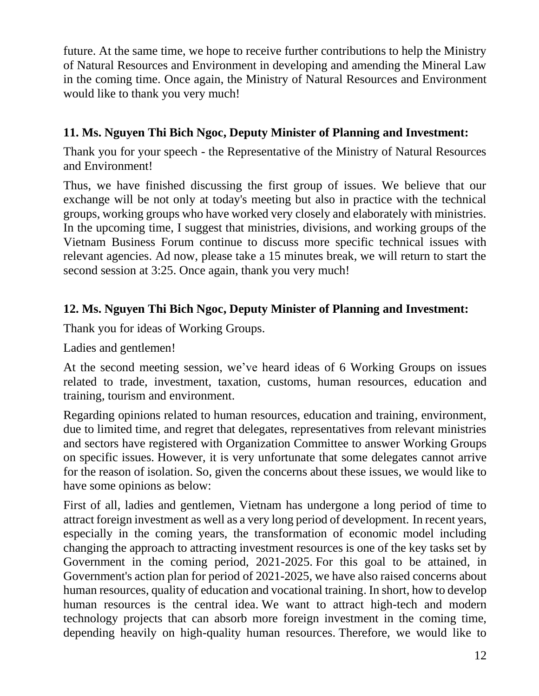future. At the same time, we hope to receive further contributions to help the Ministry of Natural Resources and Environment in developing and amending the Mineral Law in the coming time. Once again, the Ministry of Natural Resources and Environment would like to thank you very much!

# **11. Ms. Nguyen Thi Bich Ngoc, Deputy Minister of Planning and Investment:**

Thank you for your speech - the Representative of the Ministry of Natural Resources and Environment!

Thus, we have finished discussing the first group of issues. We believe that our exchange will be not only at today's meeting but also in practice with the technical groups, working groups who have worked very closely and elaborately with ministries. In the upcoming time, I suggest that ministries, divisions, and working groups of the Vietnam Business Forum continue to discuss more specific technical issues with relevant agencies. Ad now, please take a 15 minutes break, we will return to start the second session at 3:25. Once again, thank you very much!

# **12. Ms. Nguyen Thi Bich Ngoc, Deputy Minister of Planning and Investment:**

Thank you for ideas of Working Groups.

Ladies and gentlemen!

At the second meeting session, we've heard ideas of 6 Working Groups on issues related to trade, investment, taxation, customs, human resources, education and training, tourism and environment.

Regarding opinions related to human resources, education and training, environment, due to limited time, and regret that delegates, representatives from relevant ministries and sectors have registered with Organization Committee to answer Working Groups on specific issues. However, it is very unfortunate that some delegates cannot arrive for the reason of isolation. So, given the concerns about these issues, we would like to have some opinions as below:

First of all, ladies and gentlemen, Vietnam has undergone a long period of time to attract foreign investment as well as a very long period of development. In recent years, especially in the coming years, the transformation of economic model including changing the approach to attracting investment resources is one of the key tasks set by Government in the coming period, 2021-2025. For this goal to be attained, in Government's action plan for period of 2021-2025, we have also raised concerns about human resources, quality of education and vocational training. In short, how to develop human resources is the central idea. We want to attract high-tech and modern technology projects that can absorb more foreign investment in the coming time, depending heavily on high-quality human resources. Therefore, we would like to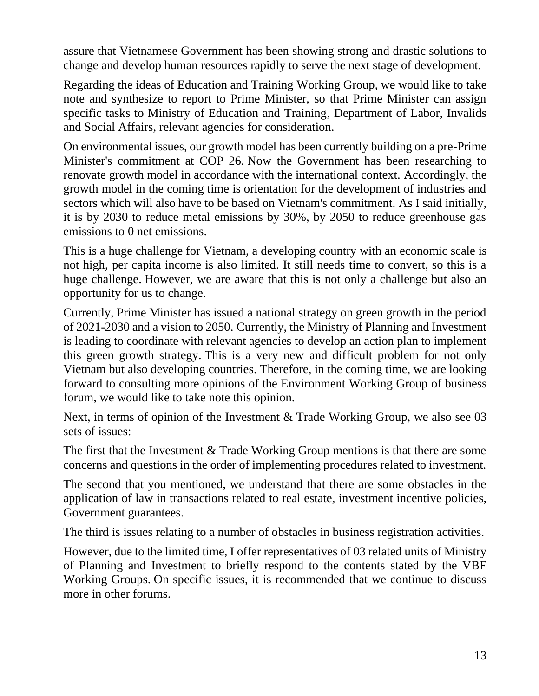assure that Vietnamese Government has been showing strong and drastic solutions to change and develop human resources rapidly to serve the next stage of development.

Regarding the ideas of Education and Training Working Group, we would like to take note and synthesize to report to Prime Minister, so that Prime Minister can assign specific tasks to Ministry of Education and Training, Department of Labor, Invalids and Social Affairs, relevant agencies for consideration.

On environmental issues, our growth model has been currently building on a pre-Prime Minister's commitment at COP 26. Now the Government has been researching to renovate growth model in accordance with the international context. Accordingly, the growth model in the coming time is orientation for the development of industries and sectors which will also have to be based on Vietnam's commitment. As I said initially, it is by 2030 to reduce metal emissions by 30%, by 2050 to reduce greenhouse gas emissions to 0 net emissions.

This is a huge challenge for Vietnam, a developing country with an economic scale is not high, per capita income is also limited. It still needs time to convert, so this is a huge challenge. However, we are aware that this is not only a challenge but also an opportunity for us to change.

Currently, Prime Minister has issued a national strategy on green growth in the period of 2021-2030 and a vision to 2050. Currently, the Ministry of Planning and Investment is leading to coordinate with relevant agencies to develop an action plan to implement this green growth strategy. This is a very new and difficult problem for not only Vietnam but also developing countries. Therefore, in the coming time, we are looking forward to consulting more opinions of the Environment Working Group of business forum, we would like to take note this opinion.

Next, in terms of opinion of the Investment & Trade Working Group, we also see 03 sets of issues:

The first that the Investment & Trade Working Group mentions is that there are some concerns and questions in the order of implementing procedures related to investment.

The second that you mentioned, we understand that there are some obstacles in the application of law in transactions related to real estate, investment incentive policies, Government guarantees.

The third is issues relating to a number of obstacles in business registration activities.

However, due to the limited time, I offer representatives of 03 related units of Ministry of Planning and Investment to briefly respond to the contents stated by the VBF Working Groups. On specific issues, it is recommended that we continue to discuss more in other forums.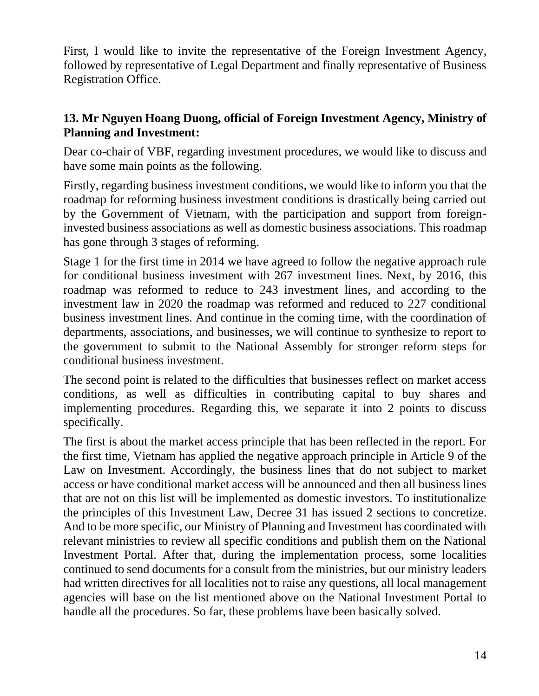First, I would like to invite the representative of the Foreign Investment Agency, followed by representative of Legal Department and finally representative of Business Registration Office.

## **13. Mr Nguyen Hoang Duong, official of Foreign Investment Agency, Ministry of Planning and Investment:**

Dear co-chair of VBF, regarding investment procedures, we would like to discuss and have some main points as the following.

Firstly, regarding business investment conditions, we would like to inform you that the roadmap for reforming business investment conditions is drastically being carried out by the Government of Vietnam, with the participation and support from foreigninvested business associations as well as domestic business associations. This roadmap has gone through 3 stages of reforming.

Stage 1 for the first time in 2014 we have agreed to follow the negative approach rule for conditional business investment with 267 investment lines. Next, by 2016, this roadmap was reformed to reduce to 243 investment lines, and according to the investment law in 2020 the roadmap was reformed and reduced to 227 conditional business investment lines. And continue in the coming time, with the coordination of departments, associations, and businesses, we will continue to synthesize to report to the government to submit to the National Assembly for stronger reform steps for conditional business investment.

The second point is related to the difficulties that businesses reflect on market access conditions, as well as difficulties in contributing capital to buy shares and implementing procedures. Regarding this, we separate it into 2 points to discuss specifically.

The first is about the market access principle that has been reflected in the report. For the first time, Vietnam has applied the negative approach principle in Article 9 of the Law on Investment. Accordingly, the business lines that do not subject to market access or have conditional market access will be announced and then all business lines that are not on this list will be implemented as domestic investors. To institutionalize the principles of this Investment Law, Decree 31 has issued 2 sections to concretize. And to be more specific, our Ministry of Planning and Investment has coordinated with relevant ministries to review all specific conditions and publish them on the National Investment Portal. After that, during the implementation process, some localities continued to send documents for a consult from the ministries, but our ministry leaders had written directives for all localities not to raise any questions, all local management agencies will base on the list mentioned above on the National Investment Portal to handle all the procedures. So far, these problems have been basically solved.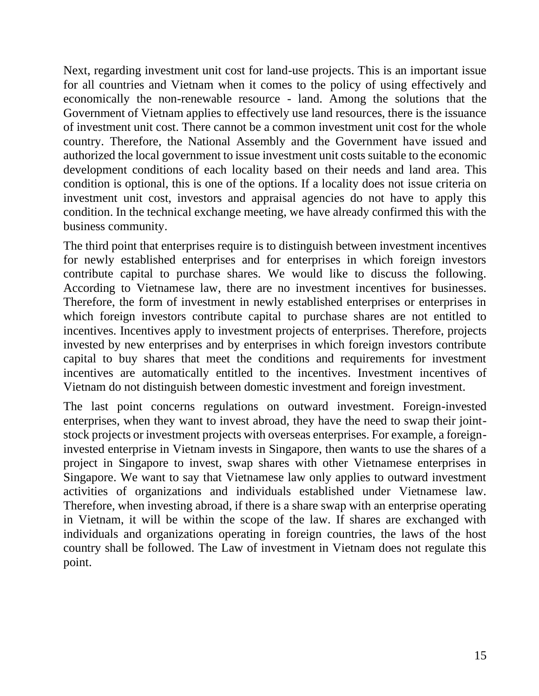Next, regarding investment unit cost for land-use projects. This is an important issue for all countries and Vietnam when it comes to the policy of using effectively and economically the non-renewable resource - land. Among the solutions that the Government of Vietnam applies to effectively use land resources, there is the issuance of investment unit cost. There cannot be a common investment unit cost for the whole country. Therefore, the National Assembly and the Government have issued and authorized the local government to issue investment unit costs suitable to the economic development conditions of each locality based on their needs and land area. This condition is optional, this is one of the options. If a locality does not issue criteria on investment unit cost, investors and appraisal agencies do not have to apply this condition. In the technical exchange meeting, we have already confirmed this with the business community.

The third point that enterprises require is to distinguish between investment incentives for newly established enterprises and for enterprises in which foreign investors contribute capital to purchase shares. We would like to discuss the following. According to Vietnamese law, there are no investment incentives for businesses. Therefore, the form of investment in newly established enterprises or enterprises in which foreign investors contribute capital to purchase shares are not entitled to incentives. Incentives apply to investment projects of enterprises. Therefore, projects invested by new enterprises and by enterprises in which foreign investors contribute capital to buy shares that meet the conditions and requirements for investment incentives are automatically entitled to the incentives. Investment incentives of Vietnam do not distinguish between domestic investment and foreign investment.

The last point concerns regulations on outward investment. Foreign-invested enterprises, when they want to invest abroad, they have the need to swap their jointstock projects or investment projects with overseas enterprises. For example, a foreigninvested enterprise in Vietnam invests in Singapore, then wants to use the shares of a project in Singapore to invest, swap shares with other Vietnamese enterprises in Singapore. We want to say that Vietnamese law only applies to outward investment activities of organizations and individuals established under Vietnamese law. Therefore, when investing abroad, if there is a share swap with an enterprise operating in Vietnam, it will be within the scope of the law. If shares are exchanged with individuals and organizations operating in foreign countries, the laws of the host country shall be followed. The Law of investment in Vietnam does not regulate this point.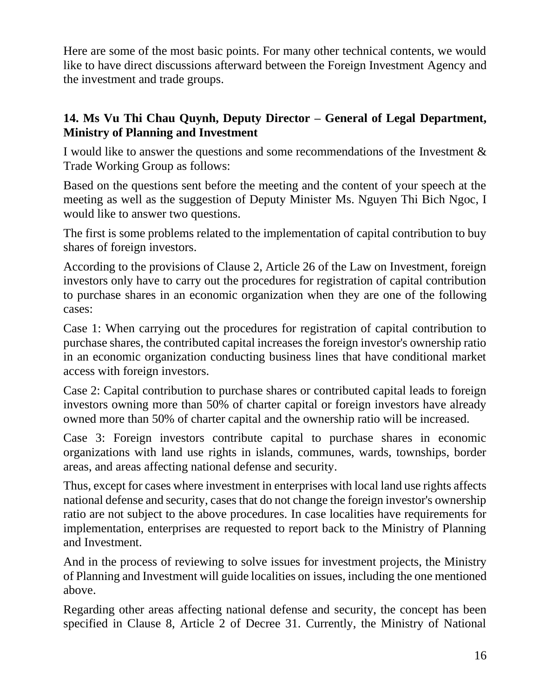Here are some of the most basic points. For many other technical contents, we would like to have direct discussions afterward between the Foreign Investment Agency and the investment and trade groups.

## **14. Ms Vu Thi Chau Quynh, Deputy Director – General of Legal Department, Ministry of Planning and Investment**

I would like to answer the questions and some recommendations of the Investment & Trade Working Group as follows:

Based on the questions sent before the meeting and the content of your speech at the meeting as well as the suggestion of Deputy Minister Ms. Nguyen Thi Bich Ngoc, I would like to answer two questions.

The first is some problems related to the implementation of capital contribution to buy shares of foreign investors.

According to the provisions of Clause 2, Article 26 of the Law on Investment, foreign investors only have to carry out the procedures for registration of capital contribution to purchase shares in an economic organization when they are one of the following cases:

Case 1: When carrying out the procedures for registration of capital contribution to purchase shares, the contributed capital increases the foreign investor's ownership ratio in an economic organization conducting business lines that have conditional market access with foreign investors.

Case 2: Capital contribution to purchase shares or contributed capital leads to foreign investors owning more than 50% of charter capital or foreign investors have already owned more than 50% of charter capital and the ownership ratio will be increased.

Case 3: Foreign investors contribute capital to purchase shares in economic organizations with land use rights in islands, communes, wards, townships, border areas, and areas affecting national defense and security.

Thus, except for cases where investment in enterprises with local land use rights affects national defense and security, cases that do not change the foreign investor's ownership ratio are not subject to the above procedures. In case localities have requirements for implementation, enterprises are requested to report back to the Ministry of Planning and Investment.

And in the process of reviewing to solve issues for investment projects, the Ministry of Planning and Investment will guide localities on issues, including the one mentioned above.

Regarding other areas affecting national defense and security, the concept has been specified in Clause 8, Article 2 of Decree 31. Currently, the Ministry of National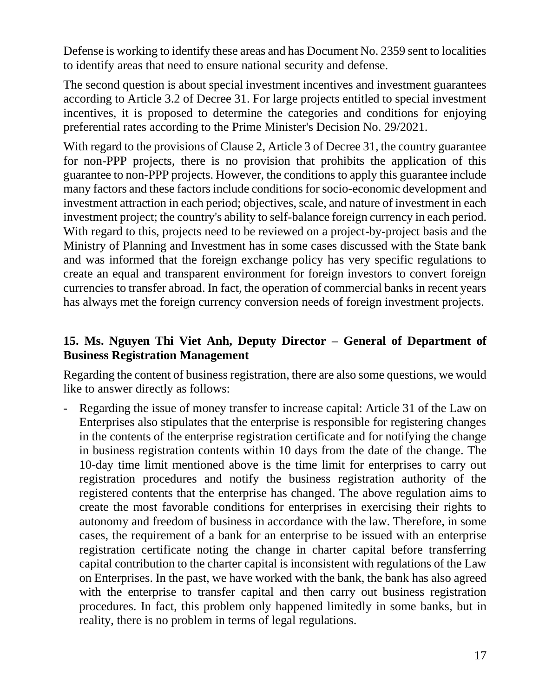Defense is working to identify these areas and has Document No. 2359 sent to localities to identify areas that need to ensure national security and defense.

The second question is about special investment incentives and investment guarantees according to Article 3.2 of Decree 31. For large projects entitled to special investment incentives, it is proposed to determine the categories and conditions for enjoying preferential rates according to the Prime Minister's Decision No. 29/2021.

With regard to the provisions of Clause 2, Article 3 of Decree 31, the country guarantee for non-PPP projects, there is no provision that prohibits the application of this guarantee to non-PPP projects. However, the conditions to apply this guarantee include many factors and these factors include conditions for socio-economic development and investment attraction in each period; objectives, scale, and nature of investment in each investment project; the country's ability to self-balance foreign currency in each period. With regard to this, projects need to be reviewed on a project-by-project basis and the Ministry of Planning and Investment has in some cases discussed with the State bank and was informed that the foreign exchange policy has very specific regulations to create an equal and transparent environment for foreign investors to convert foreign currencies to transfer abroad. In fact, the operation of commercial banks in recent years has always met the foreign currency conversion needs of foreign investment projects.

### **15. Ms. Nguyen Thi Viet Anh, Deputy Director – General of Department of Business Registration Management**

Regarding the content of business registration, there are also some questions, we would like to answer directly as follows:

Regarding the issue of money transfer to increase capital: Article 31 of the Law on Enterprises also stipulates that the enterprise is responsible for registering changes in the contents of the enterprise registration certificate and for notifying the change in business registration contents within 10 days from the date of the change. The 10-day time limit mentioned above is the time limit for enterprises to carry out registration procedures and notify the business registration authority of the registered contents that the enterprise has changed. The above regulation aims to create the most favorable conditions for enterprises in exercising their rights to autonomy and freedom of business in accordance with the law. Therefore, in some cases, the requirement of a bank for an enterprise to be issued with an enterprise registration certificate noting the change in charter capital before transferring capital contribution to the charter capital is inconsistent with regulations of the Law on Enterprises. In the past, we have worked with the bank, the bank has also agreed with the enterprise to transfer capital and then carry out business registration procedures. In fact, this problem only happened limitedly in some banks, but in reality, there is no problem in terms of legal regulations.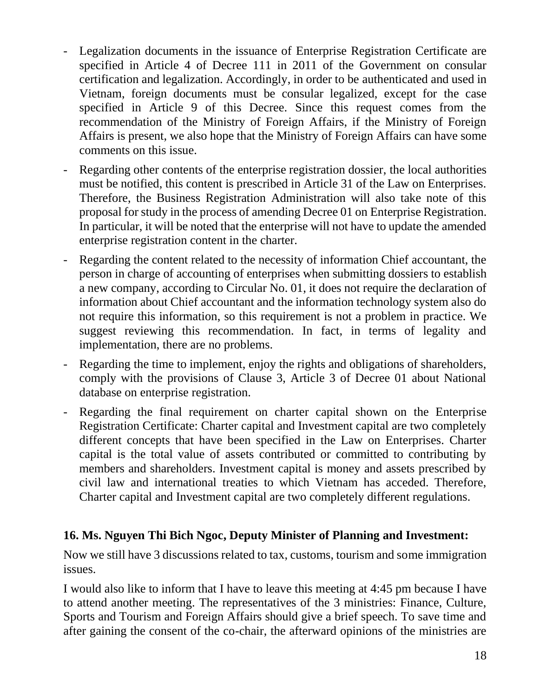- Legalization documents in the issuance of Enterprise Registration Certificate are specified in Article 4 of Decree 111 in 2011 of the Government on consular certification and legalization. Accordingly, in order to be authenticated and used in Vietnam, foreign documents must be consular legalized, except for the case specified in Article 9 of this Decree. Since this request comes from the recommendation of the Ministry of Foreign Affairs, if the Ministry of Foreign Affairs is present, we also hope that the Ministry of Foreign Affairs can have some comments on this issue.
- Regarding other contents of the enterprise registration dossier, the local authorities must be notified, this content is prescribed in Article 31 of the Law on Enterprises. Therefore, the Business Registration Administration will also take note of this proposal for study in the process of amending Decree 01 on Enterprise Registration. In particular, it will be noted that the enterprise will not have to update the amended enterprise registration content in the charter.
- Regarding the content related to the necessity of information Chief accountant, the person in charge of accounting of enterprises when submitting dossiers to establish a new company, according to Circular No. 01, it does not require the declaration of information about Chief accountant and the information technology system also do not require this information, so this requirement is not a problem in practice. We suggest reviewing this recommendation. In fact, in terms of legality and implementation, there are no problems.
- Regarding the time to implement, enjoy the rights and obligations of shareholders, comply with the provisions of Clause 3, Article 3 of Decree 01 about National database on enterprise registration.
- Regarding the final requirement on charter capital shown on the Enterprise Registration Certificate: Charter capital and Investment capital are two completely different concepts that have been specified in the Law on Enterprises. Charter capital is the total value of assets contributed or committed to contributing by members and shareholders. Investment capital is money and assets prescribed by civil law and international treaties to which Vietnam has acceded. Therefore, Charter capital and Investment capital are two completely different regulations.

## **16. Ms. Nguyen Thi Bich Ngoc, Deputy Minister of Planning and Investment:**

Now we still have 3 discussions related to tax, customs, tourism and some immigration issues.

I would also like to inform that I have to leave this meeting at 4:45 pm because I have to attend another meeting. The representatives of the 3 ministries: Finance, Culture, Sports and Tourism and Foreign Affairs should give a brief speech. To save time and after gaining the consent of the co-chair, the afterward opinions of the ministries are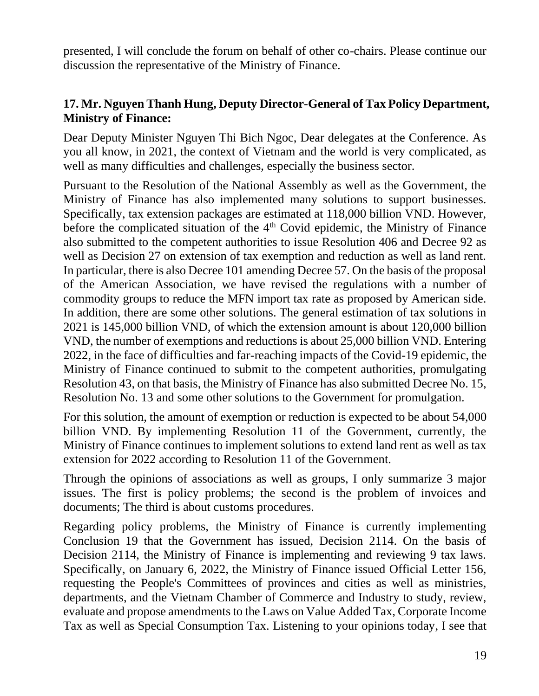presented, I will conclude the forum on behalf of other co-chairs. Please continue our discussion the representative of the Ministry of Finance.

### **17. Mr. Nguyen Thanh Hung, Deputy Director-General of Tax Policy Department, Ministry of Finance:**

Dear Deputy Minister Nguyen Thi Bich Ngoc, Dear delegates at the Conference. As you all know, in 2021, the context of Vietnam and the world is very complicated, as well as many difficulties and challenges, especially the business sector.

Pursuant to the Resolution of the National Assembly as well as the Government, the Ministry of Finance has also implemented many solutions to support businesses. Specifically, tax extension packages are estimated at 118,000 billion VND. However, before the complicated situation of the  $4<sup>th</sup>$  Covid epidemic, the Ministry of Finance also submitted to the competent authorities to issue Resolution 406 and Decree 92 as well as Decision 27 on extension of tax exemption and reduction as well as land rent. In particular, there is also Decree 101 amending Decree 57. On the basis of the proposal of the American Association, we have revised the regulations with a number of commodity groups to reduce the MFN import tax rate as proposed by American side. In addition, there are some other solutions. The general estimation of tax solutions in 2021 is 145,000 billion VND, of which the extension amount is about 120,000 billion VND, the number of exemptions and reductions is about 25,000 billion VND. Entering 2022, in the face of difficulties and far-reaching impacts of the Covid-19 epidemic, the Ministry of Finance continued to submit to the competent authorities, promulgating Resolution 43, on that basis, the Ministry of Finance has also submitted Decree No. 15, Resolution No. 13 and some other solutions to the Government for promulgation.

For this solution, the amount of exemption or reduction is expected to be about 54,000 billion VND. By implementing Resolution 11 of the Government, currently, the Ministry of Finance continues to implement solutions to extend land rent as well as tax extension for 2022 according to Resolution 11 of the Government.

Through the opinions of associations as well as groups, I only summarize 3 major issues. The first is policy problems; the second is the problem of invoices and documents; The third is about customs procedures.

Regarding policy problems, the Ministry of Finance is currently implementing Conclusion 19 that the Government has issued, Decision 2114. On the basis of Decision 2114, the Ministry of Finance is implementing and reviewing 9 tax laws. Specifically, on January 6, 2022, the Ministry of Finance issued Official Letter 156, requesting the People's Committees of provinces and cities as well as ministries, departments, and the Vietnam Chamber of Commerce and Industry to study, review, evaluate and propose amendments to the Laws on Value Added Tax, Corporate Income Tax as well as Special Consumption Tax. Listening to your opinions today, I see that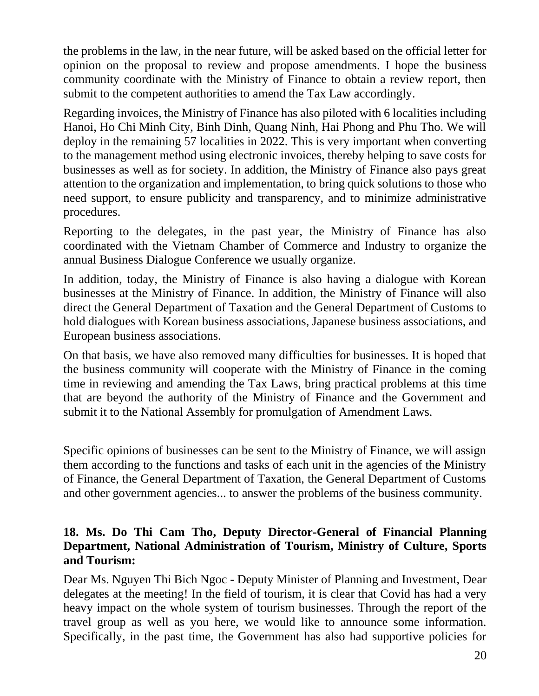the problems in the law, in the near future, will be asked based on the official letter for opinion on the proposal to review and propose amendments. I hope the business community coordinate with the Ministry of Finance to obtain a review report, then submit to the competent authorities to amend the Tax Law accordingly.

Regarding invoices, the Ministry of Finance has also piloted with 6 localities including Hanoi, Ho Chi Minh City, Binh Dinh, Quang Ninh, Hai Phong and Phu Tho. We will deploy in the remaining 57 localities in 2022. This is very important when converting to the management method using electronic invoices, thereby helping to save costs for businesses as well as for society. In addition, the Ministry of Finance also pays great attention to the organization and implementation, to bring quick solutions to those who need support, to ensure publicity and transparency, and to minimize administrative procedures.

Reporting to the delegates, in the past year, the Ministry of Finance has also coordinated with the Vietnam Chamber of Commerce and Industry to organize the annual Business Dialogue Conference we usually organize.

In addition, today, the Ministry of Finance is also having a dialogue with Korean businesses at the Ministry of Finance. In addition, the Ministry of Finance will also direct the General Department of Taxation and the General Department of Customs to hold dialogues with Korean business associations, Japanese business associations, and European business associations.

On that basis, we have also removed many difficulties for businesses. It is hoped that the business community will cooperate with the Ministry of Finance in the coming time in reviewing and amending the Tax Laws, bring practical problems at this time that are beyond the authority of the Ministry of Finance and the Government and submit it to the National Assembly for promulgation of Amendment Laws.

Specific opinions of businesses can be sent to the Ministry of Finance, we will assign them according to the functions and tasks of each unit in the agencies of the Ministry of Finance, the General Department of Taxation, the General Department of Customs and other government agencies... to answer the problems of the business community.

### **18. Ms. Do Thi Cam Tho, Deputy Director-General of Financial Planning Department, National Administration of Tourism, Ministry of Culture, Sports and Tourism:**

Dear Ms. Nguyen Thi Bich Ngoc - Deputy Minister of Planning and Investment, Dear delegates at the meeting! In the field of tourism, it is clear that Covid has had a very heavy impact on the whole system of tourism businesses. Through the report of the travel group as well as you here, we would like to announce some information. Specifically, in the past time, the Government has also had supportive policies for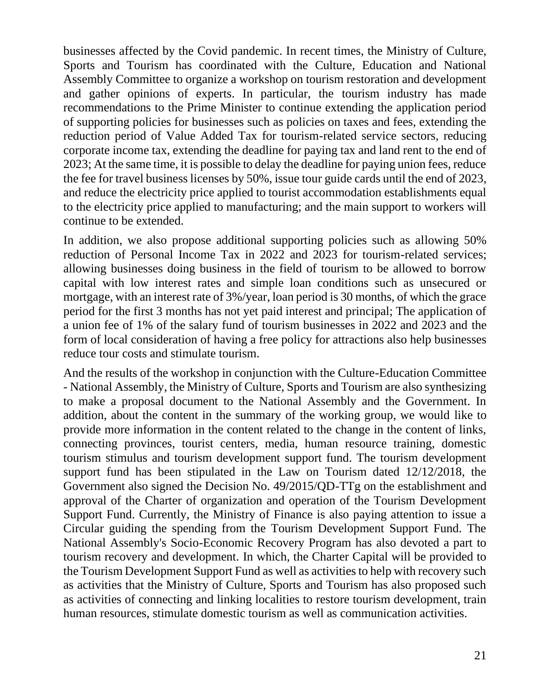businesses affected by the Covid pandemic. In recent times, the Ministry of Culture, Sports and Tourism has coordinated with the Culture, Education and National Assembly Committee to organize a workshop on tourism restoration and development and gather opinions of experts. In particular, the tourism industry has made recommendations to the Prime Minister to continue extending the application period of supporting policies for businesses such as policies on taxes and fees, extending the reduction period of Value Added Tax for tourism-related service sectors, reducing corporate income tax, extending the deadline for paying tax and land rent to the end of 2023; At the same time, it is possible to delay the deadline for paying union fees, reduce the fee for travel business licenses by 50%, issue tour guide cards until the end of 2023, and reduce the electricity price applied to tourist accommodation establishments equal to the electricity price applied to manufacturing; and the main support to workers will continue to be extended.

In addition, we also propose additional supporting policies such as allowing 50% reduction of Personal Income Tax in 2022 and 2023 for tourism-related services; allowing businesses doing business in the field of tourism to be allowed to borrow capital with low interest rates and simple loan conditions such as unsecured or mortgage, with an interest rate of 3%/year, loan period is 30 months, of which the grace period for the first 3 months has not yet paid interest and principal; The application of a union fee of 1% of the salary fund of tourism businesses in 2022 and 2023 and the form of local consideration of having a free policy for attractions also help businesses reduce tour costs and stimulate tourism.

And the results of the workshop in conjunction with the Culture-Education Committee - National Assembly, the Ministry of Culture, Sports and Tourism are also synthesizing to make a proposal document to the National Assembly and the Government. In addition, about the content in the summary of the working group, we would like to provide more information in the content related to the change in the content of links, connecting provinces, tourist centers, media, human resource training, domestic tourism stimulus and tourism development support fund. The tourism development support fund has been stipulated in the Law on Tourism dated 12/12/2018, the Government also signed the Decision No. 49/2015/QD-TTg on the establishment and approval of the Charter of organization and operation of the Tourism Development Support Fund. Currently, the Ministry of Finance is also paying attention to issue a Circular guiding the spending from the Tourism Development Support Fund. The National Assembly's Socio-Economic Recovery Program has also devoted a part to tourism recovery and development. In which, the Charter Capital will be provided to the Tourism Development Support Fund as well as activities to help with recovery such as activities that the Ministry of Culture, Sports and Tourism has also proposed such as activities of connecting and linking localities to restore tourism development, train human resources, stimulate domestic tourism as well as communication activities.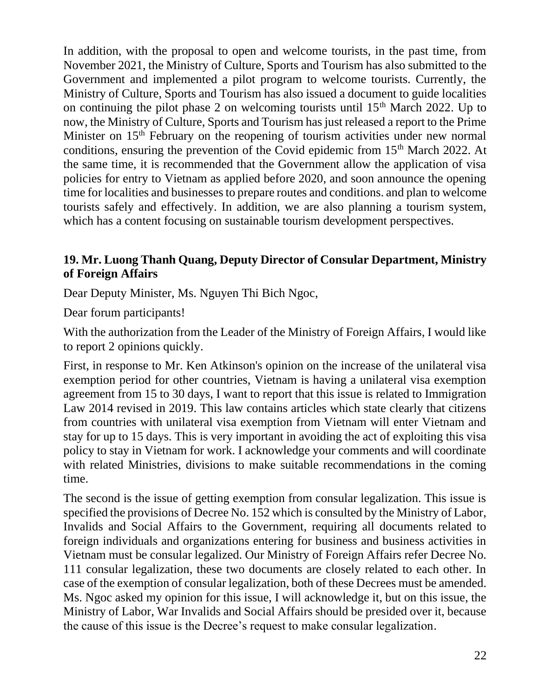In addition, with the proposal to open and welcome tourists, in the past time, from November 2021, the Ministry of Culture, Sports and Tourism has also submitted to the Government and implemented a pilot program to welcome tourists. Currently, the Ministry of Culture, Sports and Tourism has also issued a document to guide localities on continuing the pilot phase 2 on welcoming tourists until  $15<sup>th</sup>$  March 2022. Up to now, the Ministry of Culture, Sports and Tourism has just released a report to the Prime Minister on 15<sup>th</sup> February on the reopening of tourism activities under new normal conditions, ensuring the prevention of the Covid epidemic from  $15<sup>th</sup>$  March 2022. At the same time, it is recommended that the Government allow the application of visa policies for entry to Vietnam as applied before 2020, and soon announce the opening time for localities and businesses to prepare routes and conditions. and plan to welcome tourists safely and effectively. In addition, we are also planning a tourism system, which has a content focusing on sustainable tourism development perspectives.

### **19. Mr. Luong Thanh Quang, Deputy Director of Consular Department, Ministry of Foreign Affairs**

Dear Deputy Minister, Ms. Nguyen Thi Bich Ngoc,

Dear forum participants!

With the authorization from the Leader of the Ministry of Foreign Affairs, I would like to report 2 opinions quickly.

First, in response to Mr. Ken Atkinson's opinion on the increase of the unilateral visa exemption period for other countries, Vietnam is having a unilateral visa exemption agreement from 15 to 30 days, I want to report that this issue is related to Immigration Law 2014 revised in 2019. This law contains articles which state clearly that citizens from countries with unilateral visa exemption from Vietnam will enter Vietnam and stay for up to 15 days. This is very important in avoiding the act of exploiting this visa policy to stay in Vietnam for work. I acknowledge your comments and will coordinate with related Ministries, divisions to make suitable recommendations in the coming time.

The second is the issue of getting exemption from consular legalization. This issue is specified the provisions of Decree No. 152 which is consulted by the Ministry of Labor, Invalids and Social Affairs to the Government, requiring all documents related to foreign individuals and organizations entering for business and business activities in Vietnam must be consular legalized. Our Ministry of Foreign Affairs refer Decree No. 111 consular legalization, these two documents are closely related to each other. In case of the exemption of consular legalization, both of these Decrees must be amended. Ms. Ngoc asked my opinion for this issue, I will acknowledge it, but on this issue, the Ministry of Labor, War Invalids and Social Affairs should be presided over it, because the cause of this issue is the Decree's request to make consular legalization.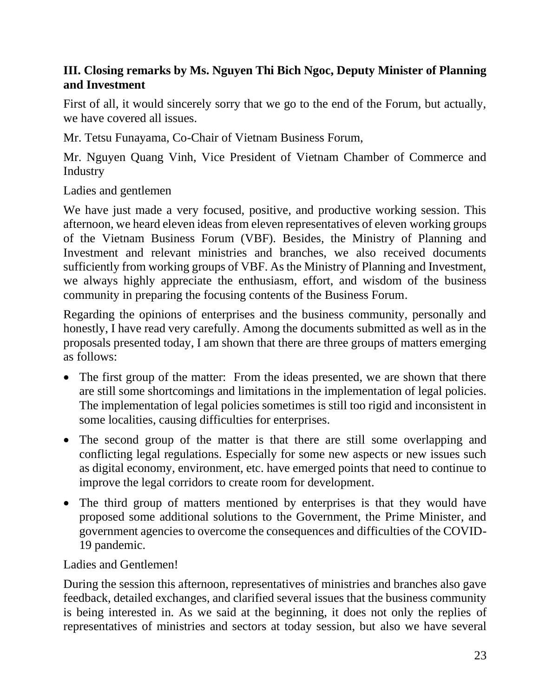## **III. Closing remarks by Ms. Nguyen Thi Bich Ngoc, Deputy Minister of Planning and Investment**

First of all, it would sincerely sorry that we go to the end of the Forum, but actually, we have covered all issues.

Mr. Tetsu Funayama, Co-Chair of Vietnam Business Forum,

Mr. Nguyen Quang Vinh, Vice President of Vietnam Chamber of Commerce and **Industry** 

Ladies and gentlemen

We have just made a very focused, positive, and productive working session. This afternoon, we heard eleven ideas from eleven representatives of eleven working groups of the Vietnam Business Forum (VBF). Besides, the Ministry of Planning and Investment and relevant ministries and branches, we also received documents sufficiently from working groups of VBF. As the Ministry of Planning and Investment, we always highly appreciate the enthusiasm, effort, and wisdom of the business community in preparing the focusing contents of the Business Forum.

Regarding the opinions of enterprises and the business community, personally and honestly, I have read very carefully. Among the documents submitted as well as in the proposals presented today, I am shown that there are three groups of matters emerging as follows:

- The first group of the matter: From the ideas presented, we are shown that there are still some shortcomings and limitations in the implementation of legal policies. The implementation of legal policies sometimes is still too rigid and inconsistent in some localities, causing difficulties for enterprises.
- The second group of the matter is that there are still some overlapping and conflicting legal regulations. Especially for some new aspects or new issues such as digital economy, environment, etc. have emerged points that need to continue to improve the legal corridors to create room for development.
- The third group of matters mentioned by enterprises is that they would have proposed some additional solutions to the Government, the Prime Minister, and government agencies to overcome the consequences and difficulties of the COVID-19 pandemic.

### Ladies and Gentlemen!

During the session this afternoon, representatives of ministries and branches also gave feedback, detailed exchanges, and clarified several issues that the business community is being interested in. As we said at the beginning, it does not only the replies of representatives of ministries and sectors at today session, but also we have several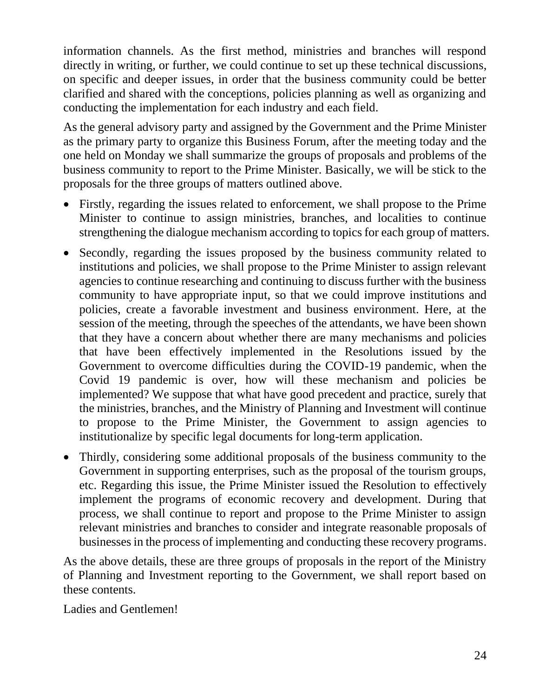information channels. As the first method, ministries and branches will respond directly in writing, or further, we could continue to set up these technical discussions, on specific and deeper issues, in order that the business community could be better clarified and shared with the conceptions, policies planning as well as organizing and conducting the implementation for each industry and each field.

As the general advisory party and assigned by the Government and the Prime Minister as the primary party to organize this Business Forum, after the meeting today and the one held on Monday we shall summarize the groups of proposals and problems of the business community to report to the Prime Minister. Basically, we will be stick to the proposals for the three groups of matters outlined above.

- Firstly, regarding the issues related to enforcement, we shall propose to the Prime Minister to continue to assign ministries, branches, and localities to continue strengthening the dialogue mechanism according to topics for each group of matters.
- Secondly, regarding the issues proposed by the business community related to institutions and policies, we shall propose to the Prime Minister to assign relevant agencies to continue researching and continuing to discuss further with the business community to have appropriate input, so that we could improve institutions and policies, create a favorable investment and business environment. Here, at the session of the meeting, through the speeches of the attendants, we have been shown that they have a concern about whether there are many mechanisms and policies that have been effectively implemented in the Resolutions issued by the Government to overcome difficulties during the COVID-19 pandemic, when the Covid 19 pandemic is over, how will these mechanism and policies be implemented? We suppose that what have good precedent and practice, surely that the ministries, branches, and the Ministry of Planning and Investment will continue to propose to the Prime Minister, the Government to assign agencies to institutionalize by specific legal documents for long-term application.
- Thirdly, considering some additional proposals of the business community to the Government in supporting enterprises, such as the proposal of the tourism groups, etc. Regarding this issue, the Prime Minister issued the Resolution to effectively implement the programs of economic recovery and development. During that process, we shall continue to report and propose to the Prime Minister to assign relevant ministries and branches to consider and integrate reasonable proposals of businesses in the process of implementing and conducting these recovery programs.

As the above details, these are three groups of proposals in the report of the Ministry of Planning and Investment reporting to the Government, we shall report based on these contents.

Ladies and Gentlemen!